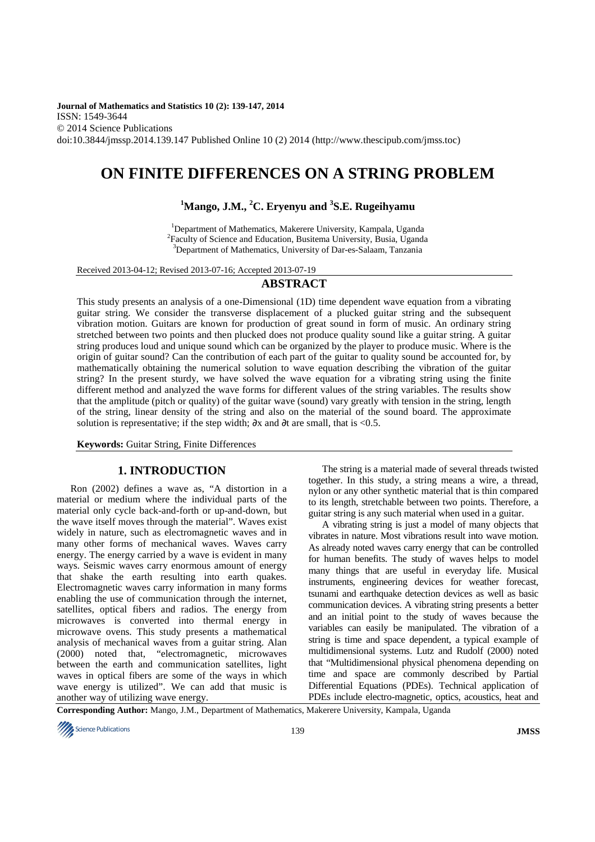**Journal of Mathematics and Statistics 10 (2): 139-147, 2014**  ISSN: 1549-3644 © 2014 Science Publications doi:10.3844/jmssp.2014.139.147 Published Online 10 (2) 2014 (http://www.thescipub.com/jmss.toc)

# **ON FINITE DIFFERENCES ON A STRING PROBLEM**

# **<sup>1</sup>Mango, J.M., <sup>2</sup>C. Eryenyu and <sup>3</sup> S.E. Rugeihyamu**

<sup>1</sup>Department of Mathematics, Makerere University, Kampala, Uganda <sup>2</sup> Faculty of Science and Education, Busitema University, Busia, Uganda <sup>3</sup>Department of Mathematics, University of Dar-es-Salaam, Tanzania

Received 2013-04-12; Revised 2013-07-16; Accepted 2013-07-19

# **ABSTRACT**

This study presents an analysis of a one-Dimensional (1D) time dependent wave equation from a vibrating guitar string. We consider the transverse displacement of a plucked guitar string and the subsequent vibration motion. Guitars are known for production of great sound in form of music. An ordinary string stretched between two points and then plucked does not produce quality sound like a guitar string. A guitar string produces loud and unique sound which can be organized by the player to produce music. Where is the origin of guitar sound? Can the contribution of each part of the guitar to quality sound be accounted for, by mathematically obtaining the numerical solution to wave equation describing the vibration of the guitar string? In the present sturdy, we have solved the wave equation for a vibrating string using the finite different method and analyzed the wave forms for different values of the string variables. The results show that the amplitude (pitch or quality) of the guitar wave (sound) vary greatly with tension in the string, length of the string, linear density of the string and also on the material of the sound board. The approximate solution is representative; if the step width;  $\partial x$  and  $\partial t$  are small, that is <0.5.

**Keywords:** Guitar String, Finite Differences

# **1. INTRODUCTION**

Ron (2002) defines a wave as, "A distortion in a material or medium where the individual parts of the material only cycle back-and-forth or up-and-down, but the wave itself moves through the material". Waves exist widely in nature, such as electromagnetic waves and in many other forms of mechanical waves. Waves carry energy. The energy carried by a wave is evident in many ways. Seismic waves carry enormous amount of energy that shake the earth resulting into earth quakes. Electromagnetic waves carry information in many forms enabling the use of communication through the internet, satellites, optical fibers and radios. The energy from microwaves is converted into thermal energy in microwave ovens. This study presents a mathematical analysis of mechanical waves from a guitar string. Alan (2000) noted that, "electromagnetic, microwaves between the earth and communication satellites, light waves in optical fibers are some of the ways in which wave energy is utilized". We can add that music is another way of utilizing wave energy.

The string is a material made of several threads twisted together. In this study, a string means a wire, a thread, nylon or any other synthetic material that is thin compared to its length, stretchable between two points. Therefore, a guitar string is any such material when used in a guitar.

A vibrating string is just a model of many objects that vibrates in nature. Most vibrations result into wave motion. As already noted waves carry energy that can be controlled for human benefits. The study of waves helps to model many things that are useful in everyday life. Musical instruments, engineering devices for weather forecast, tsunami and earthquake detection devices as well as basic communication devices. A vibrating string presents a better and an initial point to the study of waves because the variables can easily be manipulated. The vibration of a string is time and space dependent, a typical example of multidimensional systems. Lutz and Rudolf (2000) noted that "Multidimensional physical phenomena depending on time and space are commonly described by Partial Differential Equations (PDEs). Technical application of PDEs include electro-magnetic, optics, acoustics, heat and

**Corresponding Author:** Mango, J.M., Department of Mathematics, Makerere University, Kampala, Uganda

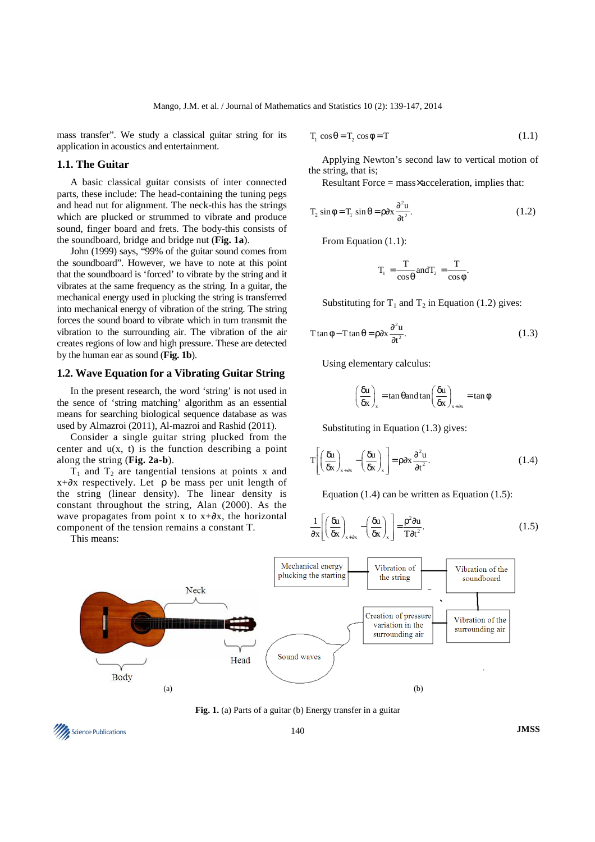mass transfer". We study a classical guitar string for its application in acoustics and entertainment.

#### **1.1. The Guitar**

A basic classical guitar consists of inter connected parts, these include: The head-containing the tuning pegs and head nut for alignment. The neck-this has the strings which are plucked or strummed to vibrate and produce sound, finger board and frets. The body-this consists of the soundboard, bridge and bridge nut (**Fig. 1a**).

John (1999) says, "99% of the guitar sound comes from the soundboard". However, we have to note at this point that the soundboard is 'forced' to vibrate by the string and it vibrates at the same frequency as the string. In a guitar, the mechanical energy used in plucking the string is transferred into mechanical energy of vibration of the string. The string forces the sound board to vibrate which in turn transmit the vibration to the surrounding air. The vibration of the air creates regions of low and high pressure. These are detected by the human ear as sound (**Fig. 1b**).

#### **1.2. Wave Equation for a Vibrating Guitar String**

In the present research, the word 'string' is not used in the sence of 'string matching' algorithm as an essential means for searching biological sequence database as was used by Almazroi (2011), Al-mazroi and Rashid (2011).

Consider a single guitar string plucked from the center and  $u(x, t)$  is the function describing a point along the string (**Fig. 2a-b**).

 $T_1$  and  $T_2$  are tangential tensions at points x and x+∂x respectively. Let ρ be mass per unit length of the string (linear density). The linear density is constant throughout the string, Alan (2000). As the wave propagates from point x to x+∂x, the horizontal component of the tension remains a constant T.

This means:

$$
T_1 \cos \theta = T_2 \cos \phi = T \tag{1.1}
$$

Applying Newton's second law to vertical motion of the string, that is;

Resultant Force = mass×acceleration, implies that:

$$
T_2 \sin \phi = T_1 \sin \theta = \rho \partial x \frac{\partial^2 u}{\partial t^2}.
$$
 (1.2)

From Equation (1.1):

$$
T_1 = \frac{T}{\cos \theta} \text{ and } T_2 = \frac{T}{\cos \phi}.
$$

Substituting for  $T_1$  and  $T_2$  in Equation (1.2) gives:

$$
T \tan \phi - T \tan \theta = \rho \partial x \frac{\partial^2 u}{\partial t^2}.
$$
 (1.3)

Using elementary calculus:

$$
\left(\frac{\delta u}{\delta x}\right)_x = \tan \theta \text{ and } \tan \left(\frac{\delta u}{\delta x}\right)_{x+\delta x} = \tan \phi
$$

Substituting in Equation (1.3) gives:

$$
T\left[\left(\frac{\delta u}{\delta x}\right)_{x+\partial x} - \left(\frac{\delta u}{\delta x}\right)_x\right] = \rho \partial x \frac{\partial^2 u}{\partial t^2}.
$$
 (1.4)

Equation (1.4) can be written as Equation (1.5):

$$
\frac{1}{\partial x} \left[ \left( \frac{\delta u}{\delta x} \right)_{x + \partial x} - \left( \frac{\delta u}{\delta x} \right)_x \right] = \frac{\rho^2 \partial u}{T \partial t^2}.
$$
\n(1.5)



**Fig. 1.** (a) Parts of a guitar (b) Energy transfer in a guitar

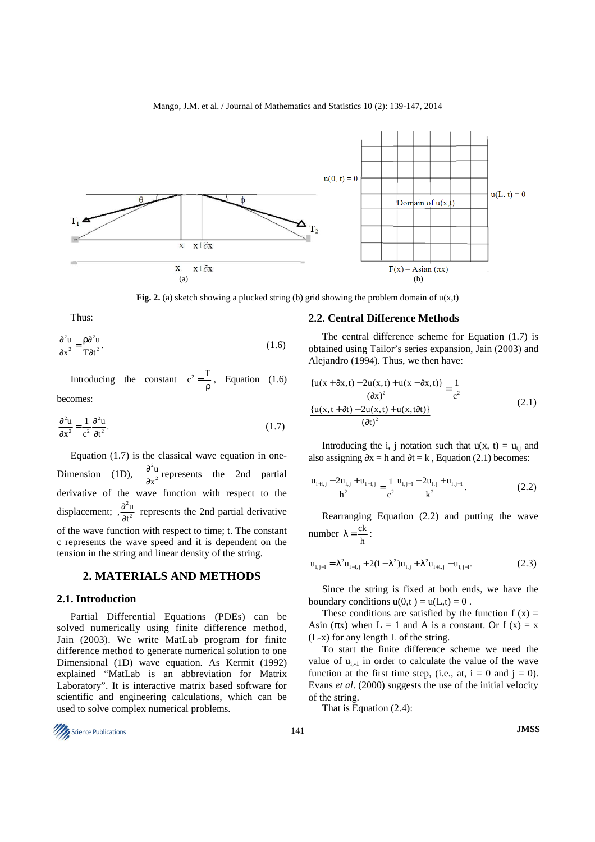#### Mango, J.M. et al. / Journal of Mathematics and Statistics 10 (2): 139-147, 2014



**Fig. 2.** (a) sketch showing a plucked string (b) grid showing the problem domain of  $u(x,t)$ 

Thus:

$$
\frac{\partial^2 u}{\partial x^2} = \frac{\rho \partial^2 u}{T \partial t^2}.
$$
 (1.6)

Introducing the constant  $c^2 = \frac{T}{\rho}$ , Equation (1.6)

becomes:

$$
\frac{\partial^2 u}{\partial x^2} = \frac{1}{c^2} \frac{\partial^2 u}{\partial t^2}.
$$
 (1.7)

Equation  $(1.7)$  is the classical wave equation in one-Dimension (1D),  $\frac{\partial^2}{\partial x^2}$  $\frac{u}{2}$ x ∂  $\frac{\partial u}{\partial x^2}$  represents the 2nd partial derivative of the wave function with respect to the displacement;  $\frac{\partial^2}{\partial x^2}$  $\frac{\partial^2 u}{\partial t^2}$ ∂  $\frac{\partial^2 u}{\partial t^2}$  represents the 2nd partial derivative of the wave function with respect to time; t. The constant c represents the wave speed and it is dependent on the tension in the string and linear density of the string.

# **2. MATERIALS AND METHODS**

#### **2.1. Introduction**

Partial Differential Equations (PDEs) can be solved numerically using finite difference method, Jain (2003). We write MatLab program for finite difference method to generate numerical solution to one Dimensional (1D) wave equation. As Kermit (1992) explained "MatLab is an abbreviation for Matrix Laboratory". It is interactive matrix based software for scientific and engineering calculations, which can be used to solve complex numerical problems.

#### **2.2. Central Difference Methods**

The central difference scheme for Equation (1.7) is obtained using Tailor's series expansion, Jain (2003) and Alejandro (1994). Thus, we then have:

$$
\frac{\{u(x+\partial x,t)-2u(x,t)+u(x-\partial x,t)\}}{(\partial x)^2} = \frac{1}{c^2}
$$
\n
$$
\frac{\{u(x,t+\partial t)-2u(x,t)+u(x,t\partial t)\}}{(\partial t)^2}
$$
\n(2.1)

Introducing the i, j notation such that  $u(x, t) = u_{i,j}$  and also assigning  $\partial x = h$  and  $\partial t = k$ , Equation (2.1) becomes:

$$
\frac{u_{i+1,j} - 2u_{i,j} + u_{i-1,j}}{h^2} = \frac{1}{c^2} \frac{u_{i,j+1} - 2u_{i,j} + u_{i,j-1}}{k^2}.
$$
 (2.2)

Rearranging Equation (2.2) and putting the wave number  $\lambda = \frac{ck}{h}$ :

$$
\mathbf{u}_{i,j+1} = \lambda^2 \mathbf{u}_{i-1,j} + 2(1 - \lambda^2) \mathbf{u}_{i,j} + \lambda^2 \mathbf{u}_{i+1,j} - \mathbf{u}_{i,j-1}.
$$
 (2.3)

Since the string is fixed at both ends, we have the boundary conditions  $u(0,t) = u(L,t) = 0$ .

These conditions are satisfied by the function  $f(x) =$ Asin  $(\pi x)$  when L = 1 and A is a constant. Or f  $(x) = x$ (L-x) for any length L of the string.

To start the finite difference scheme we need the value of  $u_{i-1}$  in order to calculate the value of the wave function at the first time step, (i.e., at,  $i = 0$  and  $j = 0$ ). Evans *et al*. (2000) suggests the use of the initial velocity of the string.

That is Equation (2.4):

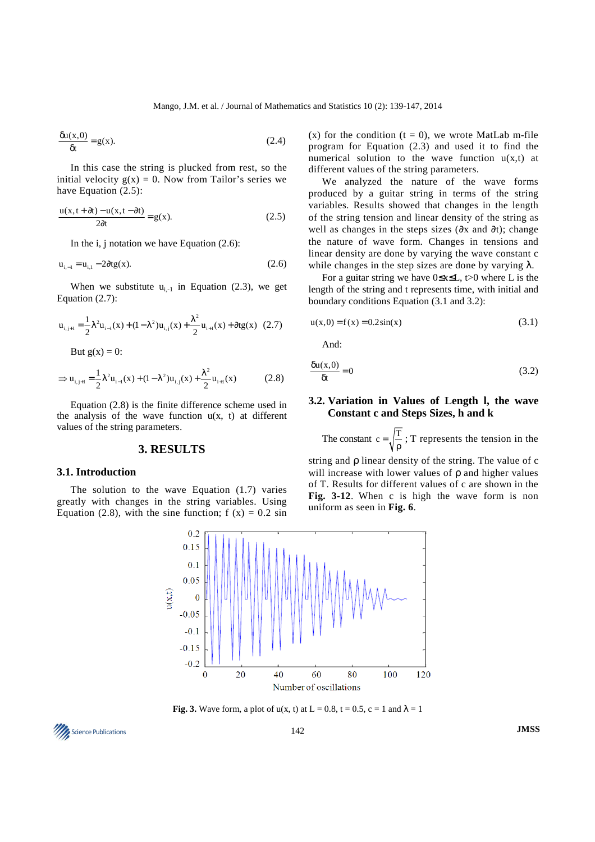$$
\frac{\delta u(x,0)}{\delta t} = g(x). \tag{2.4}
$$

In this case the string is plucked from rest, so the initial velocity  $g(x) = 0$ . Now from Tailor's series we have Equation  $(2.5)$ :

$$
\frac{u(x,t+\partial t) - u(x,t-\partial t)}{2\partial t} = g(x).
$$
 (2.5)

In the i, j notation we have Equation (2.6):

$$
u_{i,-1} = u_{i,1} - 2\partial t g(x). \tag{2.6}
$$

When we substitute  $u_{i-1}$  in Equation (2.3), we get Equation (2.7):

$$
\mathbf{u}_{i,j+1} = \frac{1}{2}\lambda^2 \mathbf{u}_{i-1}(x) + (1 - \lambda^2) \mathbf{u}_{i,j}(x) + \frac{\lambda^2}{2} \mathbf{u}_{i+1}(x) + \partial t \mathbf{g}(x) \tag{2.7}
$$

But  $g(x) = 0$ :

$$
\Rightarrow u_{i,j+1} = \frac{1}{2}\lambda^2 u_{i-1}(x) + (1 - \lambda^2)u_{i,j}(x) + \frac{\lambda^2}{2}u_{i+1}(x) \tag{2.8}
$$

Equation (2.8) is the finite difference scheme used in the analysis of the wave function  $u(x, t)$  at different values of the string parameters.

### **3. RESULTS**

#### **3.1. Introduction**

The solution to the wave Equation (1.7) varies greatly with changes in the string variables. Using Equation (2.8), with the sine function;  $f(x) = 0.2 \sin(x)$  (x) for the condition  $(t = 0)$ , we wrote MatLab m-file program for Equation (2.3) and used it to find the numerical solution to the wave function  $u(x,t)$  at different values of the string parameters.

We analyzed the nature of the wave forms produced by a guitar string in terms of the string variables. Results showed that changes in the length of the string tension and linear density of the string as well as changes in the steps sizes (∂x and ∂t); change the nature of wave form. Changes in tensions and linear density are done by varying the wave constant c while changes in the step sizes are done by varying  $\lambda$ .

For a guitar string we have  $0 \le x \le L$ , t > 0 where L is the length of the string and t represents time, with initial and boundary conditions Equation (3.1 and 3.2):

$$
u(x,0) = f(x) = 0.2\sin(x)
$$
 (3.1)

And:

$$
\frac{\delta u(x,0)}{\delta t} = 0\tag{3.2}
$$

## **3.2. Variation in Values of Length l, the wave Constant c and Steps Sizes, h and k**

The constant  $c = \sqrt{\frac{T}{\rho}}$ ; T represents the tension in the

string and ρ linear density of the string. The value of c will increase with lower values of ρ and higher values of T. Results for different values of c are shown in the **Fig. 3-12**. When c is high the wave form is non uniform as seen in **Fig. 6**.



**Fig. 3.** Wave form, a plot of u(x, t) at  $L = 0.8$ ,  $t = 0.5$ ,  $c = 1$  and  $\lambda = 1$ 

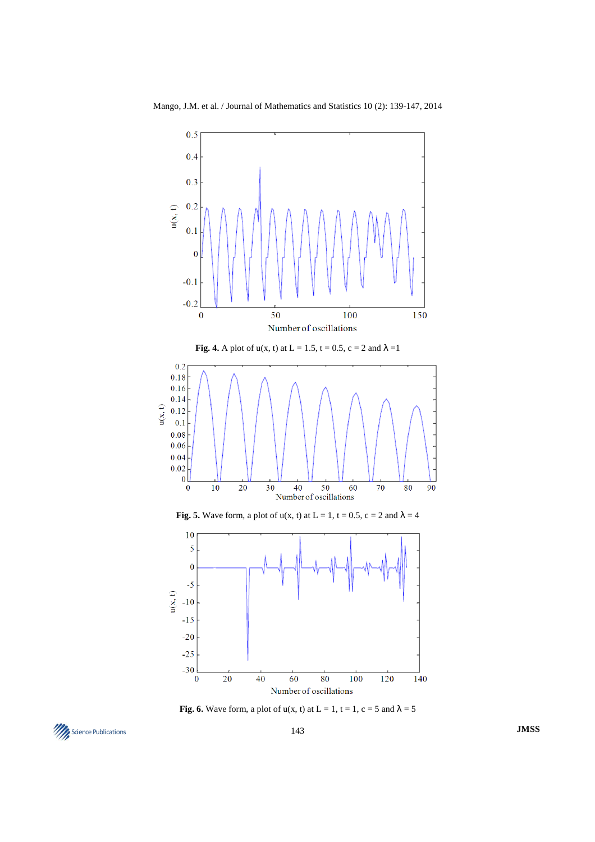

**Fig. 6.** Wave form, a plot of u(x, t) at  $L = 1$ ,  $t = 1$ ,  $c = 5$  and  $\lambda = 5$ 

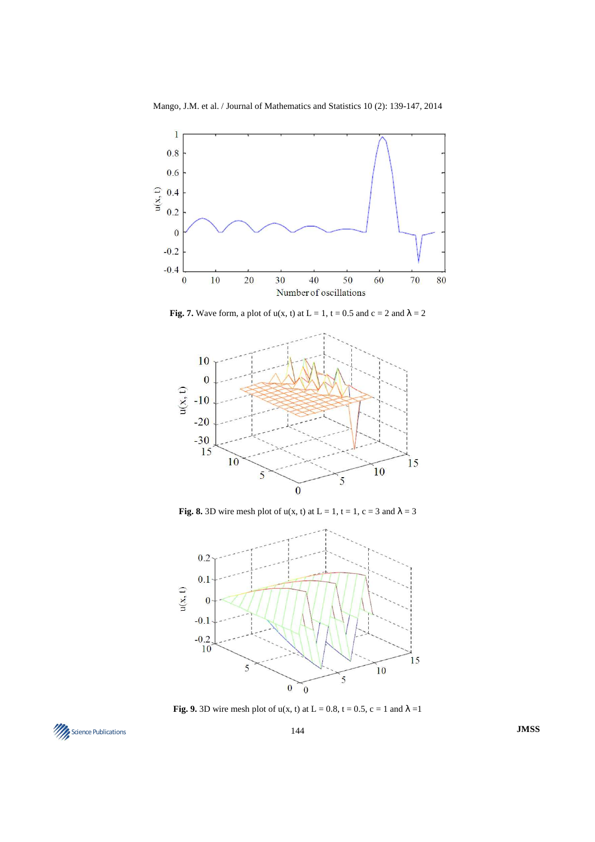

Mango, J.M. et al. / Journal of Mathematics and Statistics 10 (2): 139-147, 2014

**Fig. 7.** Wave form, a plot of u(x, t) at  $L = 1$ ,  $t = 0.5$  and  $c = 2$  and  $\lambda = 2$ 



**Fig. 8.** 3D wire mesh plot of u(x, t) at  $L = 1$ ,  $t = 1$ ,  $c = 3$  and  $\lambda = 3$ 



**Fig. 9.** 3D wire mesh plot of u(x, t) at  $L = 0.8$ ,  $t = 0.5$ ,  $c = 1$  and  $\lambda = 1$ 

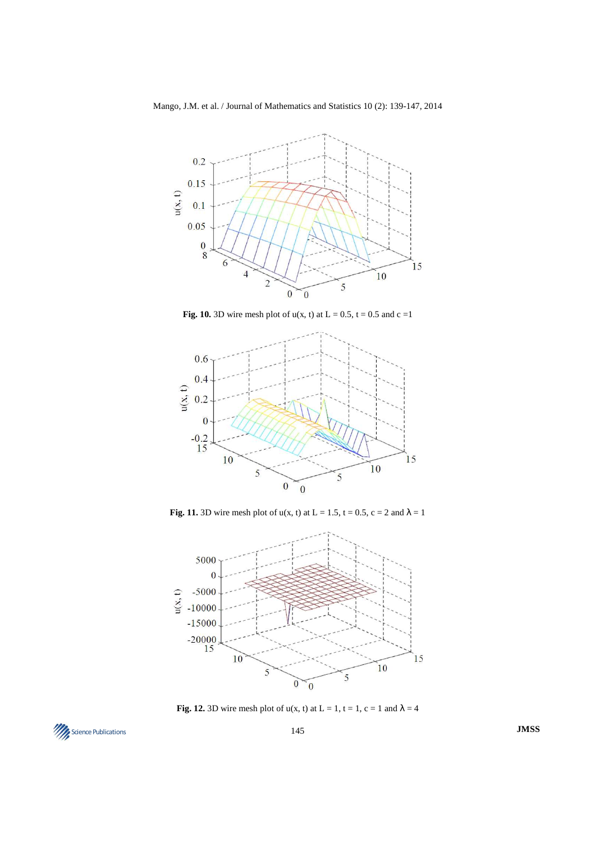

Mango, J.M. et al. / Journal of Mathematics and Statistics 10 (2): 139-147, 2014

**Fig. 10.** 3D wire mesh plot of  $u(x, t)$  at  $L = 0.5$ ,  $t = 0.5$  and  $c = 1$ 



**Fig. 11.** 3D wire mesh plot of u(x, t) at  $L = 1.5$ ,  $t = 0.5$ ,  $c = 2$  and  $\lambda = 1$ 



**Fig. 12.** 3D wire mesh plot of  $u(x, t)$  at  $L = 1$ ,  $t = 1$ ,  $c = 1$  and  $\lambda = 4$ 

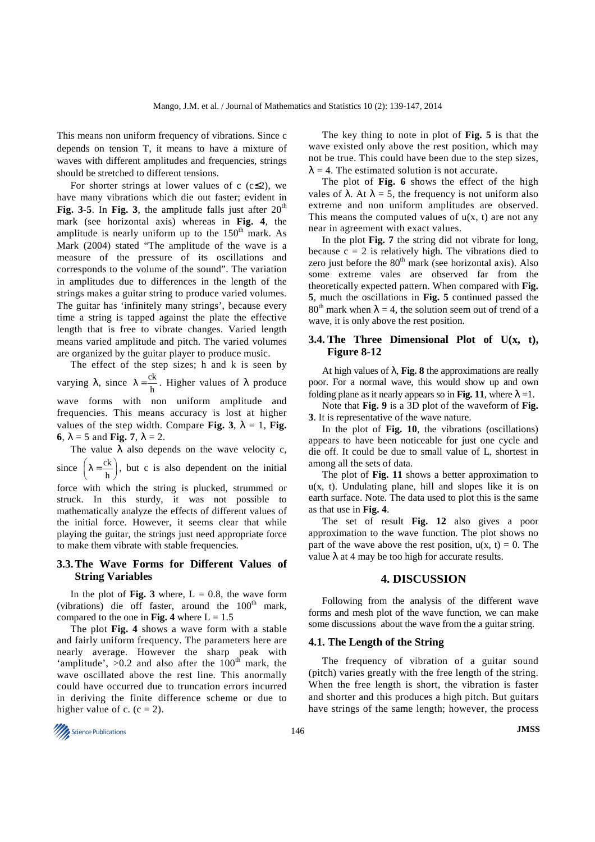This means non uniform frequency of vibrations. Since c depends on tension T, it means to have a mixture of waves with different amplitudes and frequencies, strings should be stretched to different tensions.

For shorter strings at lower values of c ( $c \leq 2$ ), we have many vibrations which die out faster; evident in **Fig. 3-5**. In **Fig. 3**, the amplitude falls just after  $20^{\text{th}}$ mark (see horizontal axis) whereas in **Fig. 4**, the amplitude is nearly uniform up to the  $150<sup>th</sup>$  mark. As Mark (2004) stated "The amplitude of the wave is a measure of the pressure of its oscillations and corresponds to the volume of the sound". The variation in amplitudes due to differences in the length of the strings makes a guitar string to produce varied volumes. The guitar has 'infinitely many strings', because every time a string is tapped against the plate the effective length that is free to vibrate changes. Varied length means varied amplitude and pitch. The varied volumes are organized by the guitar player to produce music.

The effect of the step sizes; h and k is seen by varying  $\lambda$ , since  $\lambda = \frac{ck}{h}$ . Higher values of  $\lambda$  produce

wave forms with non uniform amplitude and frequencies. This means accuracy is lost at higher values of the step width. Compare **Fig. 3**,  $\lambda = 1$ , **Fig. 6**,  $\lambda = 5$  and **Fig.** 7,  $\lambda = 2$ .

The value  $\lambda$  also depends on the wave velocity c, since  $\left(\lambda = \frac{ck}{h}\right)$ , but c is also dependent on the initial force with which the string is plucked, strummed or struck. In this sturdy, it was not possible to mathematically analyze the effects of different values of the initial force. However, it seems clear that while playing the guitar, the strings just need appropriate force to make them vibrate with stable frequencies.

## **3.3. The Wave Forms for Different Values of String Variables**

In the plot of **Fig. 3** where,  $L = 0.8$ , the wave form (vibrations) die off faster, around the  $100<sup>th</sup>$  mark, compared to the one in **Fig. 4** where  $L = 1.5$ 

The plot **Fig. 4** shows a wave form with a stable and fairly uniform frequency. The parameters here are nearly average. However the sharp peak with 'amplitude',  $>0.2$  and also after the  $100<sup>th</sup>$  mark, the wave oscillated above the rest line. This anormally could have occurred due to truncation errors incurred in deriving the finite difference scheme or due to higher value of c.  $(c = 2)$ .

The key thing to note in plot of **Fig. 5** is that the wave existed only above the rest position, which may not be true. This could have been due to the step sizes,  $\lambda = 4$ . The estimated solution is not accurate.

The plot of **Fig. 6** shows the effect of the high vales of  $\lambda$ . At  $\lambda = 5$ , the frequency is not uniform also extreme and non uniform amplitudes are observed. This means the computed values of  $u(x, t)$  are not any near in agreement with exact values.

In the plot **Fig. 7** the string did not vibrate for long, because  $c = 2$  is relatively high. The vibrations died to zero just before the  $80<sup>th</sup>$  mark (see horizontal axis). Also some extreme vales are observed far from the theoretically expected pattern. When compared with **Fig. 5**, much the oscillations in **Fig. 5** continued passed the  $80<sup>th</sup>$  mark when  $\lambda = 4$ , the solution seem out of trend of a wave, it is only above the rest position.

## **3.4. The Three Dimensional Plot of U(x, t), Figure 8-12**

At high values of  $\lambda$ , **Fig. 8** the approximations are really poor. For a normal wave, this would show up and own folding plane as it nearly appears so in **Fig. 11**, where  $\lambda = 1$ .

Note that **Fig. 9** is a 3D plot of the waveform of **Fig. 3**. It is representative of the wave nature.

In the plot of **Fig. 10**, the vibrations (oscillations) appears to have been noticeable for just one cycle and die off. It could be due to small value of L, shortest in among all the sets of data.

The plot of **Fig. 11** shows a better approximation to  $u(x, t)$ . Undulating plane, hill and slopes like it is on earth surface. Note. The data used to plot this is the same as that use in **Fig. 4**.

The set of result **Fig. 12** also gives a poor approximation to the wave function. The plot shows no part of the wave above the rest position,  $u(x, t) = 0$ . The value  $\lambda$  at 4 may be too high for accurate results.

# **4. DISCUSSION**

Following from the analysis of the different wave forms and mesh plot of the wave function, we can make some discussions about the wave from the a guitar string.

#### **4.1. The Length of the String**

The frequency of vibration of a guitar sound (pitch) varies greatly with the free length of the string. When the free length is short, the vibration is faster and shorter and this produces a high pitch. But guitars have strings of the same length; however, the process